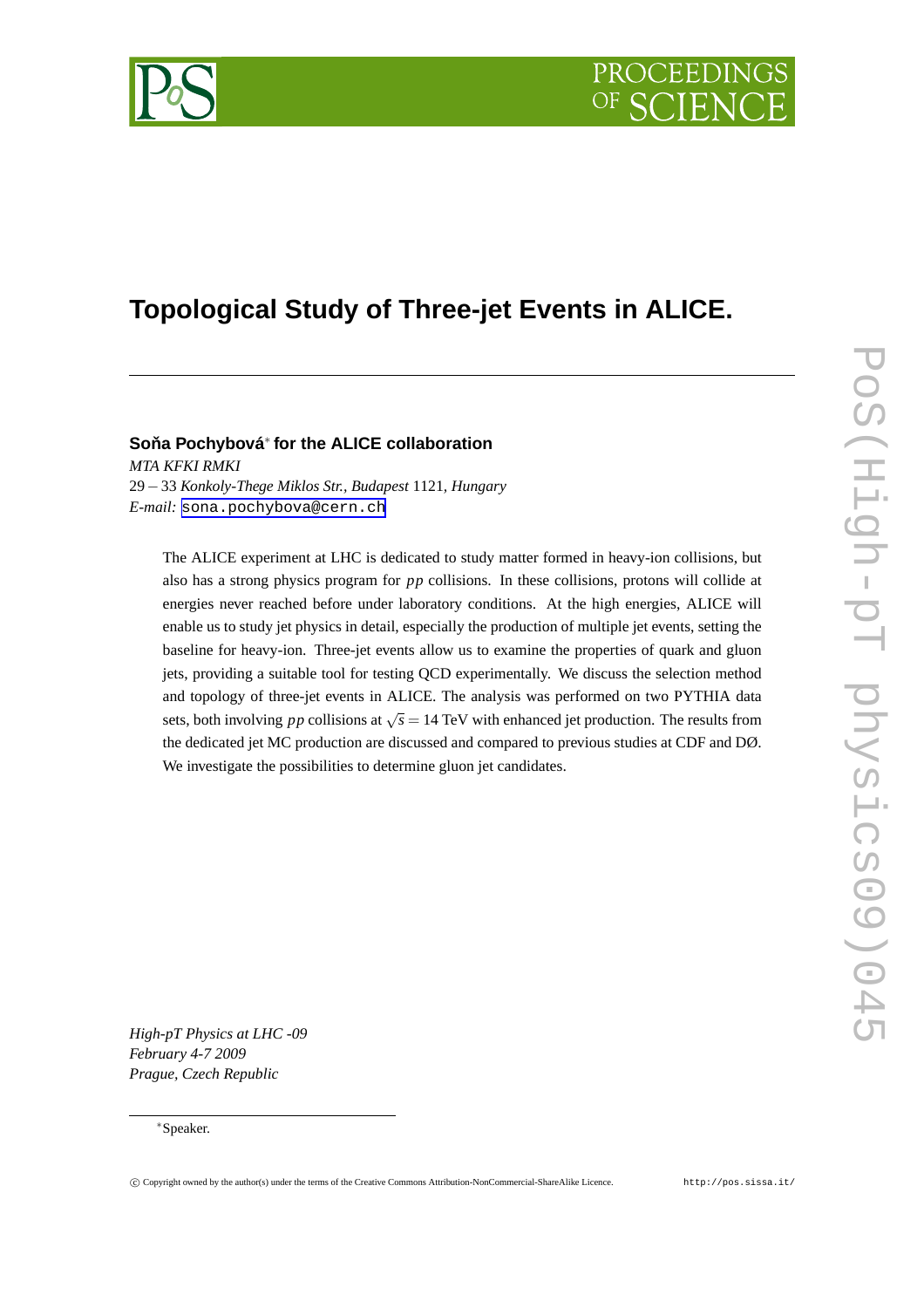

# **Topological Study of Three-jet Events in ALICE.**

## **Sona Pochybová ˇ** ∗ **for the ALICE collaboration**

*MTA KFKI RMKI* 29−33 *Konkoly-Thege Miklos Str., Budapest* 1121*, Hungary E-mail:* [sona.pochybova@cern.ch](mailto:sona.pochybova@cern.ch)

The ALICE experiment at LHC is dedicated to study matter formed in heavy-ion collisions, but also has a strong physics program for *pp* collisions. In these collisions, protons will collide at energies never reached before under laboratory conditions. At the high energies, ALICE will enable us to study jet physics in detail, especially the production of multiple jet events, setting the baseline for heavy-ion. Three-jet events allow us to examine the properties of quark and gluon jets, providing a suitable tool for testing QCD experimentally. We discuss the selection method and topology of three-jet events in ALICE. The analysis was performed on two PYTHIA data sets, both involving *pp* collisions at  $\sqrt{s} = 14$  TeV with enhanced jet production. The results from the dedicated jet MC production are discussed and compared to previous studies at CDF and DØ. We investigate the possibilities to determine gluon jet candidates.

*High-pT Physics at LHC -09 February 4-7 2009 Prague, Czech Republic*

#### ∗Speaker.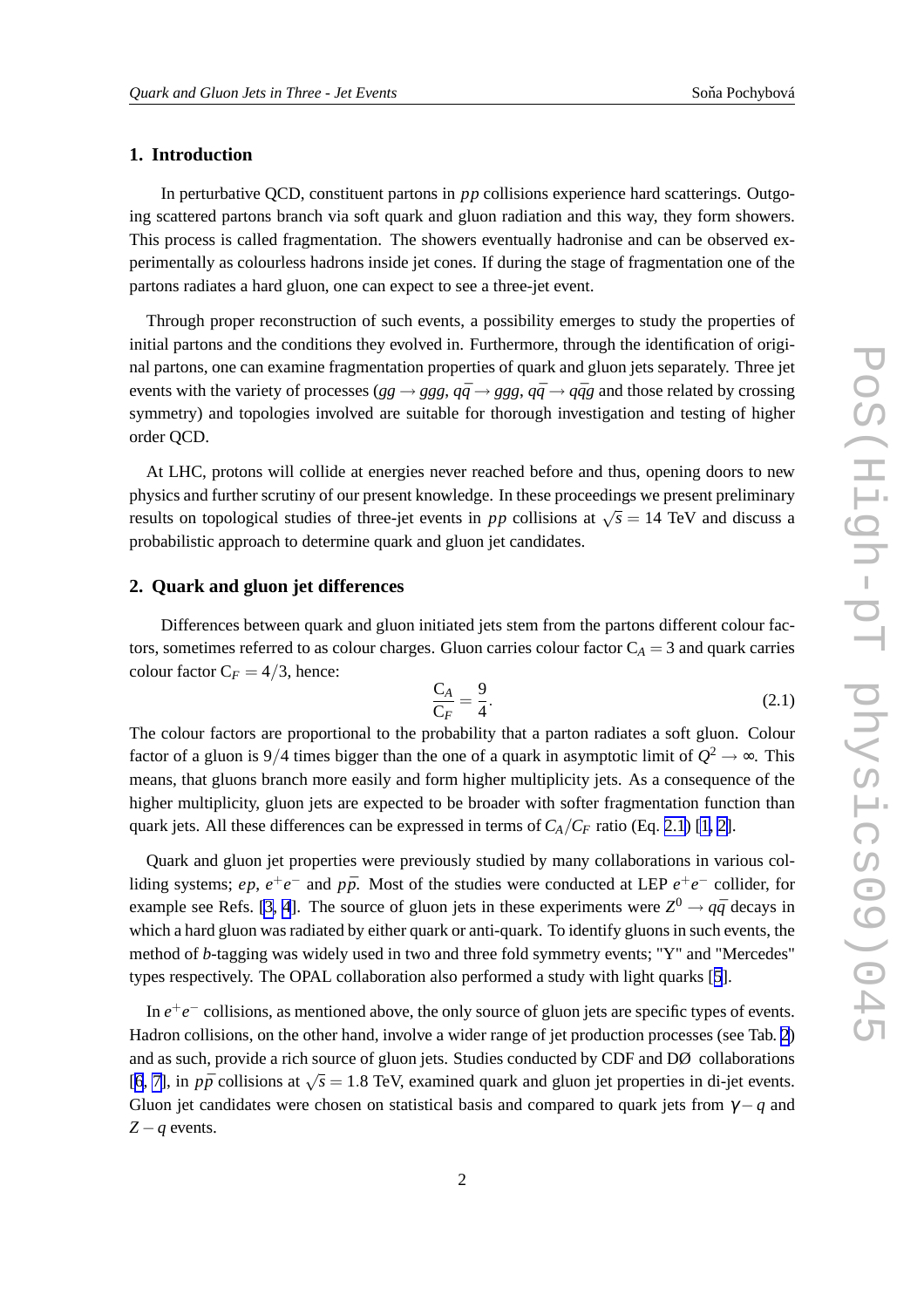### <span id="page-1-0"></span>**1. Introduction**

In perturbative QCD, constituent partons in *pp* collisions experience hard scatterings. Outgoing scattered partons branch via soft quark and gluon radiation and this way, they form showers. This process is called fragmentation. The showers eventually hadronise and can be observed experimentally as colourless hadrons inside jet cones. If during the stage of fragmentation one of the partons radiates a hard gluon, one can expect to see a three-jet event.

Through proper reconstruction of such events, a possibility emerges to study the properties of initial partons and the conditions they evolved in. Furthermore, through the identification of original partons, one can examine fragmentation properties of quark and gluon jets separately. Three jet events with the variety of processes ( $gg \rightarrow ggg$ ,  $q\bar{q} \rightarrow ggg$ ,  $q\bar{q} \rightarrow q\bar{q}g$  and those related by crossing symmetry) and topologies involved are suitable for thorough investigation and testing of higher order QCD.

At LHC, protons will collide at energies never reached before and thus, opening doors to new physics and further scrutiny of our present knowledge. In these proceedings we present preliminary results on topological studies of three-jet events in *pp* collisions at  $\sqrt{s} = 14$  TeV and discuss a probabilistic approach to determine quark and gluon jet candidates.

### **2. Quark and gluon jet differences**

Differences between quark and gluon initiated jets stem from the partons different colour factors, sometimes referred to as colour charges. Gluon carries colour factor  $C_A = 3$  and quark carries colour factor  $C_F = 4/3$ , hence:

$$
\frac{C_A}{C_F} = \frac{9}{4}.\tag{2.1}
$$

The colour factors are proportional to the probability that a parton radiates a soft gluon. Colour factor of a gluon is 9/4 times bigger than the one of a quark in asymptotic limit of  $Q^2 \to \infty$ . This means, that gluons branch more easily and form higher multiplicity jets. As a consequence of the higher multiplicity, gluon jets are expected to be broader with softer fragmentation function than quark jets. All these differences can be expressed in terms of  $C_A/C_F$  ratio (Eq. 2.1) [\[1, 2\]](#page-7-0).

Quark and gluon jet properties were previously studied by many collaborations in various colliding systems; *ep*,  $e^+e^-$  and  $p\bar{p}$ . Most of the studies were conducted at LEP  $e^+e^-$  collider, for example see Refs. [\[3, 4](#page-7-0)]. The source of gluon jets in these experiments were  $Z^0 \rightarrow q\bar{q}$  decays in which a hard gluon was radiated by either quark or anti-quark. To identify gluons in such events, the method of *b*-tagging was widely used in two and three fold symmetry events; "Y" and "Mercedes" types respectively. The OPAL collaboration also performed a study with light quarks [[5](#page-7-0)].

In  $e^+e^-$  collisions, as mentioned above, the only source of gluon jets are specific types of events. Hadron collisions, on the other hand, involve a wider range of jet production processes (see Tab. [2](#page-4-0)) and as such, provide a rich source of gluon jets. Studies conducted by CDF and DØ collaborations [[6](#page-7-0), [7\]](#page-7-0), in  $p\bar{p}$  collisions at  $\sqrt{s} = 1.8$  TeV, examined quark and gluon jet properties in di-jet events. Gluon jet candidates were chosen on statistical basis and compared to quark jets from  $\gamma - q$  and *Z* −*q* events.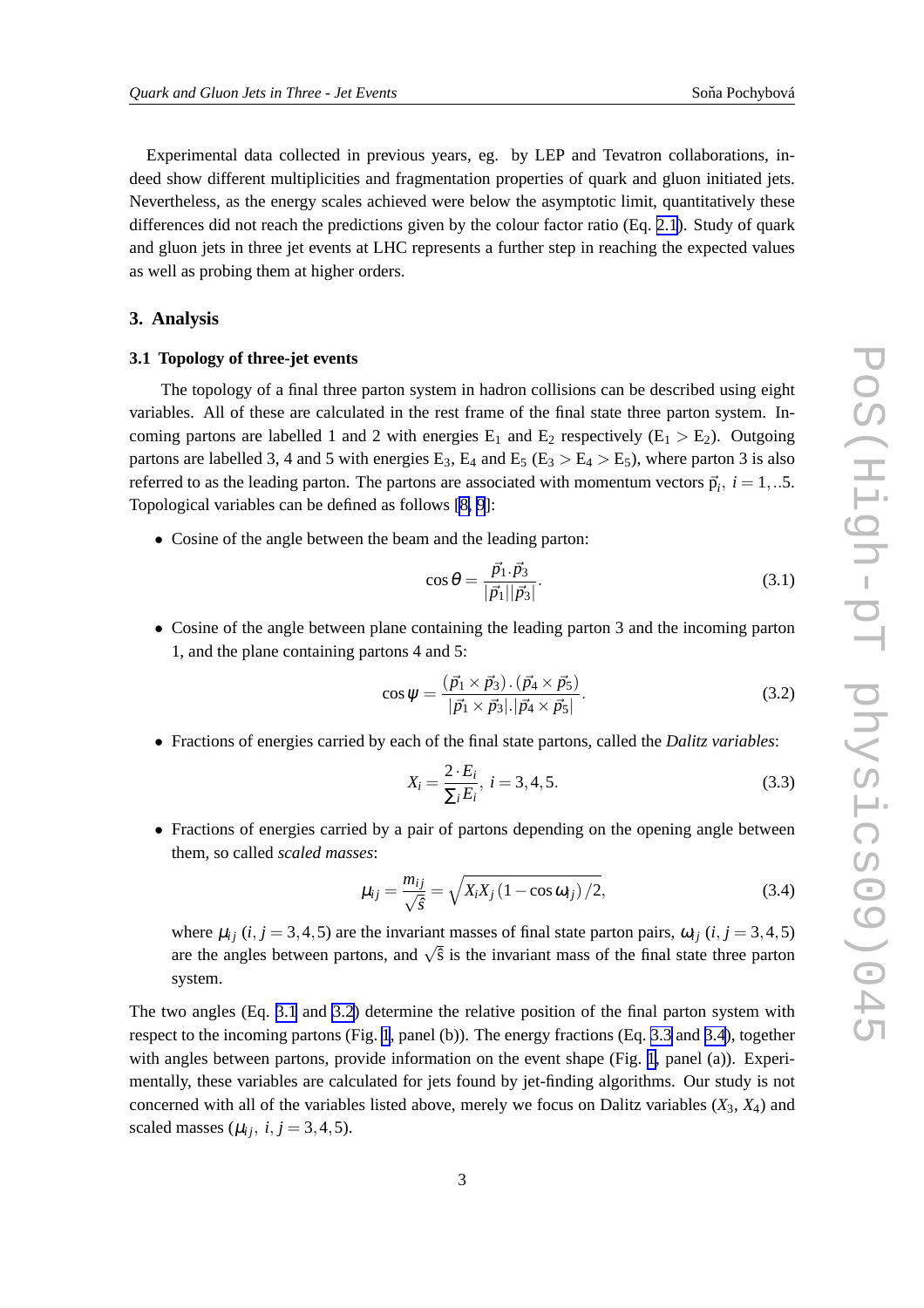Experimental data collected in previous years, eg. by LEP and Tevatron collaborations, indeed show different multiplicities and fragmentation properties of quark and gluon initiated jets. Nevertheless, as the energy scales achieved were below the asymptotic limit, quantitatively these differences did not reach the predictions given by the colour factor ratio (Eq. [2.1](#page-1-0)). Study of quark and gluon jets in three jet events at LHC represents a further step in reaching the expected values as well as probing them at higher orders.

#### **3. Analysis**

#### **3.1 Topology of three-jet events**

The topology of a final three parton system in hadron collisions can be described using eight variables. All of these are calculated in the rest frame of the final state three parton system. Incoming partons are labelled 1 and 2 with energies  $E_1$  and  $E_2$  respectively ( $E_1 > E_2$ ). Outgoing partons are labelled 3, 4 and 5 with energies  $E_3$ ,  $E_4$  and  $E_5$  ( $E_3 > E_4 > E_5$ ), where parton 3 is also referred to as the leading parton. The partons are associated with momentum vectors  $\vec{p}_i$ ,  $i = 1, ...5$ . Topological variables can be defined as follows [\[8, 9](#page-7-0)]:

• Cosine of the angle between the beam and the leading parton:

$$
\cos \theta = \frac{\vec{p_1} \cdot \vec{p_3}}{|\vec{p_1}||\vec{p_3}|}.
$$
\n(3.1)

• Cosine of the angle between plane containing the leading parton 3 and the incoming parton 1, and the plane containing partons 4 and 5:

$$
\cos \psi = \frac{(\vec{p_1} \times \vec{p_3}) \cdot (\vec{p_4} \times \vec{p_5})}{|\vec{p_1} \times \vec{p_3}| |\vec{p_4} \times \vec{p_5}|}. \tag{3.2}
$$

• Fractions of energies carried by each of the final state partons, called the *Dalitz variables*:

$$
X_i = \frac{2 \cdot E_i}{\sum_i E_i}, \ i = 3, 4, 5. \tag{3.3}
$$

• Fractions of energies carried by a pair of partons depending on the opening angle between them, so called *scaled masses*:

$$
\mu_{ij} = \frac{m_{ij}}{\sqrt{\hat{s}}} = \sqrt{X_i X_j (1 - \cos \omega_{ij})/2},
$$
\n(3.4)

where  $\mu_{ij}$  (*i*, *j* = 3,4,5) are the invariant masses of final state parton pairs,  $\omega_{ij}$  (*i*, *j* = 3,4,5) are the angles between partons, and  $\sqrt{\hat{s}}$  is the invariant mass of the final state three parton system.

The two angles (Eq. 3.1 and 3.2) determine the relative position of the final parton system with respect to the incoming partons (Fig. [1](#page-3-0), panel (b)). The energy fractions (Eq. 3.3 and 3.4), together with angles between partons, provide information on the event shape (Fig. [1](#page-3-0), panel (a)). Experimentally, these variables are calculated for jets found by jet-finding algorithms. Our study is not concerned with all of the variables listed above, merely we focus on Dalitz variables  $(X_3, X_4)$  and scaled masses ( $\mu_{ij}$ ,  $i, j = 3, 4, 5$ ).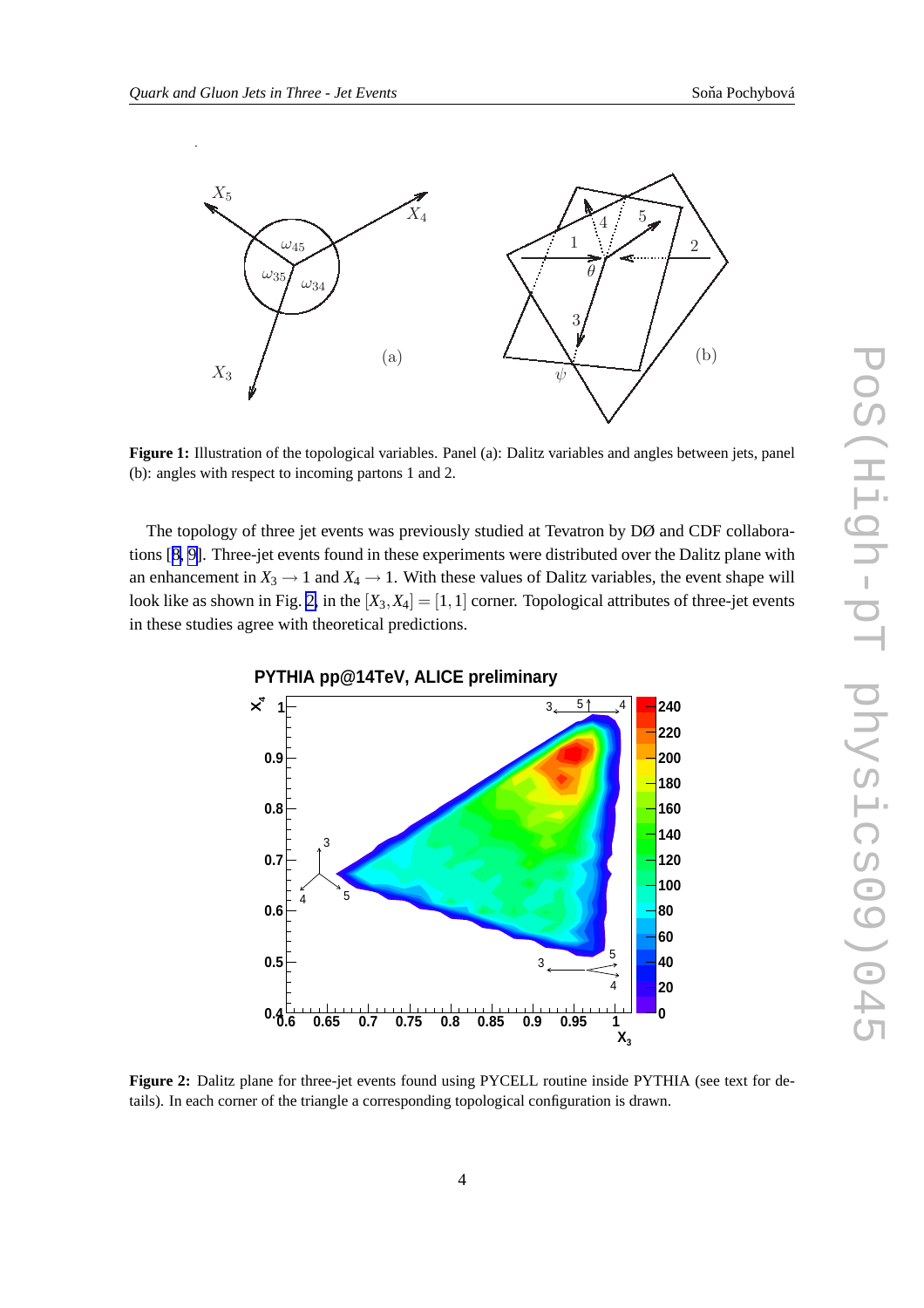<span id="page-3-0"></span>

**Figure 1:** Illustration of the topological variables. Panel (a): Dalitz variables and angles between jets, panel (b): angles with respect to incoming partons 1 and 2.

The topology of three jet events was previously studied at Tevatron by DØ and CDF collaborations [[8](#page-7-0), [9\]](#page-7-0). Three-jet events found in these experiments were distributed over the Dalitz plane with an enhancement in  $X_3 \to 1$  and  $X_4 \to 1$ . With these values of Dalitz variables, the event shape will look like as shown in Fig. 2, in the  $[X_3, X_4] = [1, 1]$  corner. Topological attributes of three-jet events in these studies agree with theoretical predictions.



**Figure 2:** Dalitz plane for three-jet events found using PYCELL routine inside PYTHIA (see text for details). In each corner of the triangle a corresponding topological configuration is drawn.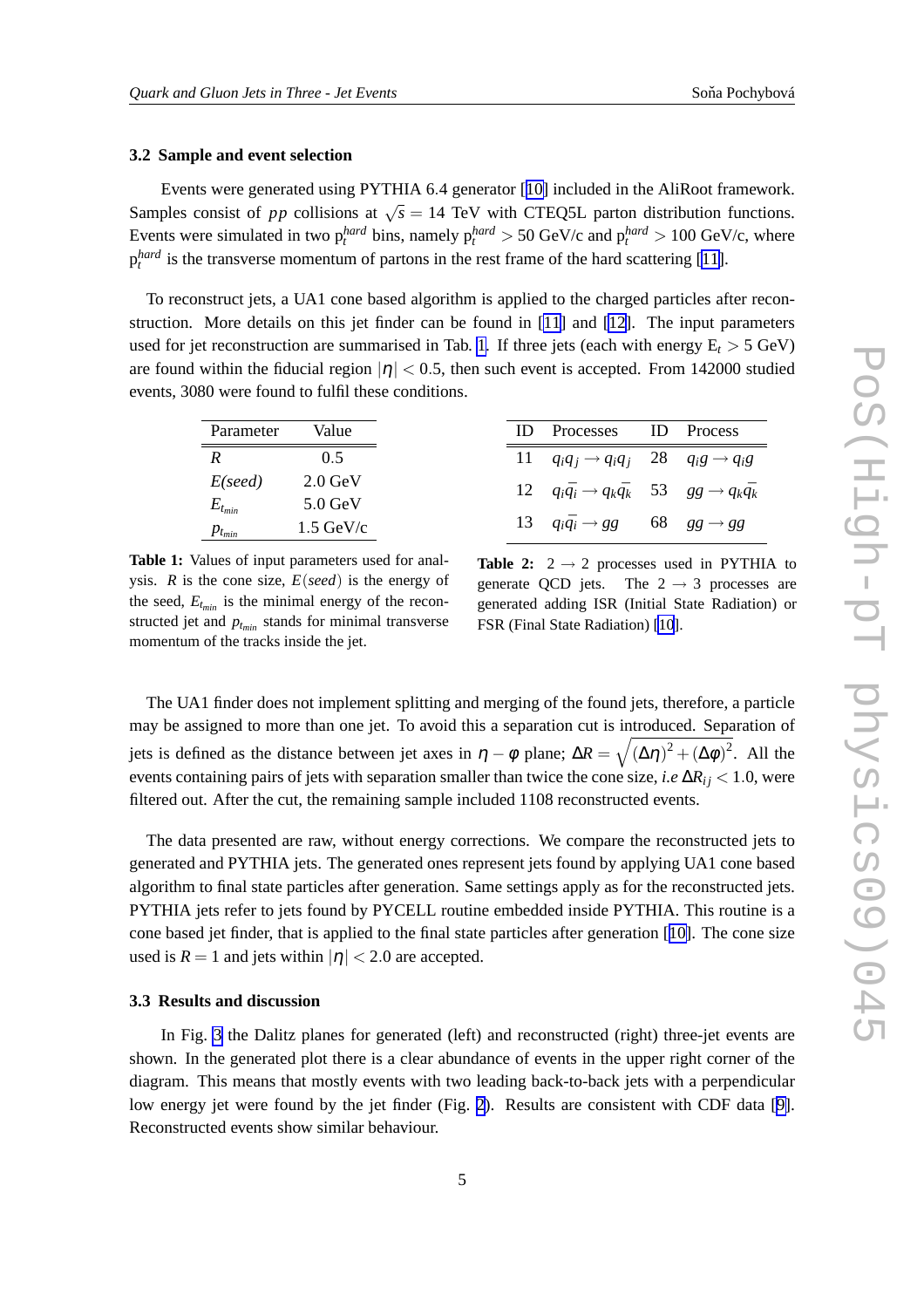#### <span id="page-4-0"></span>**3.2 Sample and event selection**

Events were generated using PYTHIA 6.4 generator [[10\]](#page-7-0) included in the AliRoot framework. Samples consist of *pp* collisions at  $\sqrt{s} = 14$  TeV with CTEQ5L parton distribution functions. Events were simulated in two  $p_t^{hard}$  bins, namely  $p_t^{hard} > 50$  GeV/c and  $p_t^{hard} > 100$  GeV/c, where  $p_t^{hard}$  is the transverse momentum of partons in the rest frame of the hard scattering [[11\]](#page-7-0).

To reconstruct jets, a UA1 cone based algorithm is applied to the charged particles after reconstruction. More details on this jet finder can be found in [\[11\]](#page-7-0) and [\[12\]](#page-7-0). The input parameters used for jet reconstruction are summarised in Tab. 1. If three jets (each with energy  $E_t > 5$  GeV) are found within the fiducial region  $|\eta| < 0.5$ , then such event is accepted. From 142000 studied events, 3080 were found to fulfil these conditions.

| Parameter     | Value               | ID | Processes                                                                   | <b>ID</b> Process |
|---------------|---------------------|----|-----------------------------------------------------------------------------|-------------------|
| R             | 0.5                 |    | 11 $q_i q_j \rightarrow q_i q_j$ 28 $q_i g \rightarrow q_i g$               |                   |
| $E$ (seed)    | $2.0$ GeV           |    | 12 $q_i\bar{q}_i \rightarrow q_k\bar{q}_k$ 53 $gg \rightarrow q_k\bar{q}_k$ |                   |
| $E_{t_{min}}$ | $5.0$ GeV           |    |                                                                             |                   |
| $p_{t_{min}}$ | $1.5 \text{ GeV/c}$ |    | 13 $q_i\bar{q}_i \rightarrow gg$ 68 $gg \rightarrow gg$                     |                   |

**Table 1:** Values of input parameters used for analysis. *R* is the cone size, *E*(*seed*) is the energy of the seed,  $E_{t_{min}}$  is the minimal energy of the reconstructed jet and  $p_{t_{min}}$  stands for minimal transverse momentum of the tracks inside the jet.

**Table 2:**  $2 \rightarrow 2$  processes used in PYTHIA to generate QCD jets. The  $2 \rightarrow 3$  processes are The  $2 \rightarrow 3$  processes are generated adding ISR (Initial State Radiation) or FSR (Final State Radiation) [\[10](#page-7-0)].

The UA1 finder does not implement splitting and merging of the found jets, therefore, a particle may be assigned to more than one jet. To avoid this a separation cut is introduced. Separation of jets is defined as the distance between jet axes in  $\eta - \phi$  plane;  $\Delta R = \sqrt{(\Delta \eta)^2 + (\Delta \phi)^2}$ . All the events containing pairs of jets with separation smaller than twice the cone size, *i.e* ∆*Ri j* < 1.0, were filtered out. After the cut, the remaining sample included 1108 reconstructed events.

The data presented are raw, without energy corrections. We compare the reconstructed jets to generated and PYTHIA jets. The generated ones represent jets found by applying UA1 cone based algorithm to final state particles after generation. Same settings apply as for the reconstructed jets. PYTHIA jets refer to jets found by PYCELL routine embedded inside PYTHIA. This routine is a cone based jet finder, that is applied to the final state particles after generation [[10\]](#page-7-0). The cone size used is  $R = 1$  and jets within  $|\eta| < 2.0$  are accepted.

#### **3.3 Results and discussion**

In Fig. [3](#page-5-0) the Dalitz planes for generated (left) and reconstructed (right) three-jet events are shown. In the generated plot there is a clear abundance of events in the upper right corner of the diagram. This means that mostly events with two leading back-to-back jets with a perpendicular low energy jet were found by the jet finder (Fig. [2](#page-3-0)). Results are consistent with CDF data [\[9\]](#page-7-0). Reconstructed events show similar behaviour.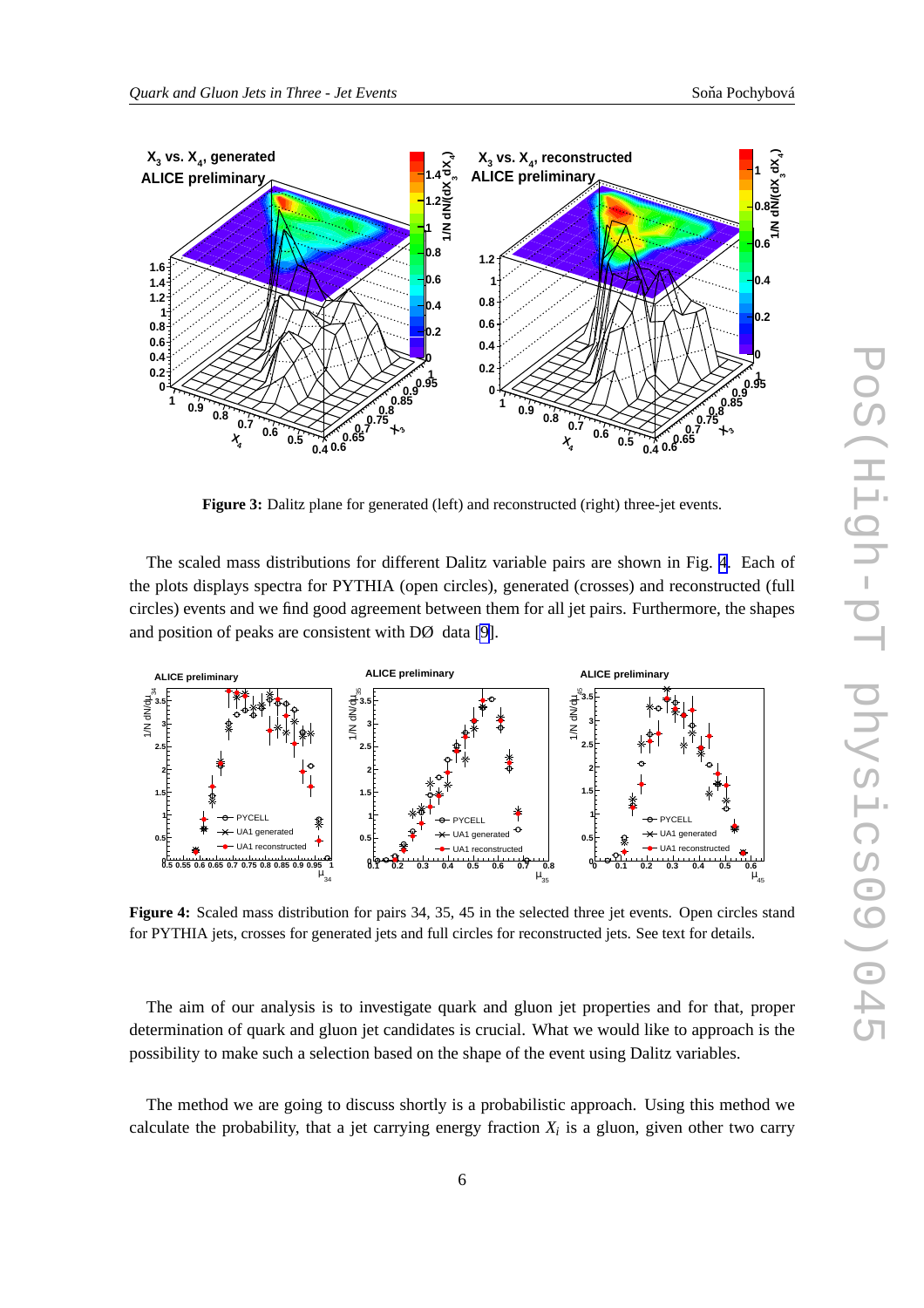<span id="page-5-0"></span>

**Figure 3:** Dalitz plane for generated (left) and reconstructed (right) three-jet events.

The scaled mass distributions for different Dalitz variable pairs are shown in Fig. 4. Each of the plots displays spectra for PYTHIA (open circles), generated (crosses) and reconstructed (full circles) events and we find good agreement between them for all jet pairs. Furthermore, the shapes and position of peaks are consistent with DØ data [\[9\]](#page-7-0).



**Figure 4:** Scaled mass distribution for pairs 34, 35, 45 in the selected three jet events. Open circles stand for PYTHIA jets, crosses for generated jets and full circles for reconstructed jets. See text for details.

The aim of our analysis is to investigate quark and gluon jet properties and for that, proper determination of quark and gluon jet candidates is crucial. What we would like to approach is the possibility to make such a selection based on the shape of the event using Dalitz variables.

The method we are going to discuss shortly is a probabilistic approach. Using this method we calculate the probability, that a jet carrying energy fraction  $X_i$  is a gluon, given other two carry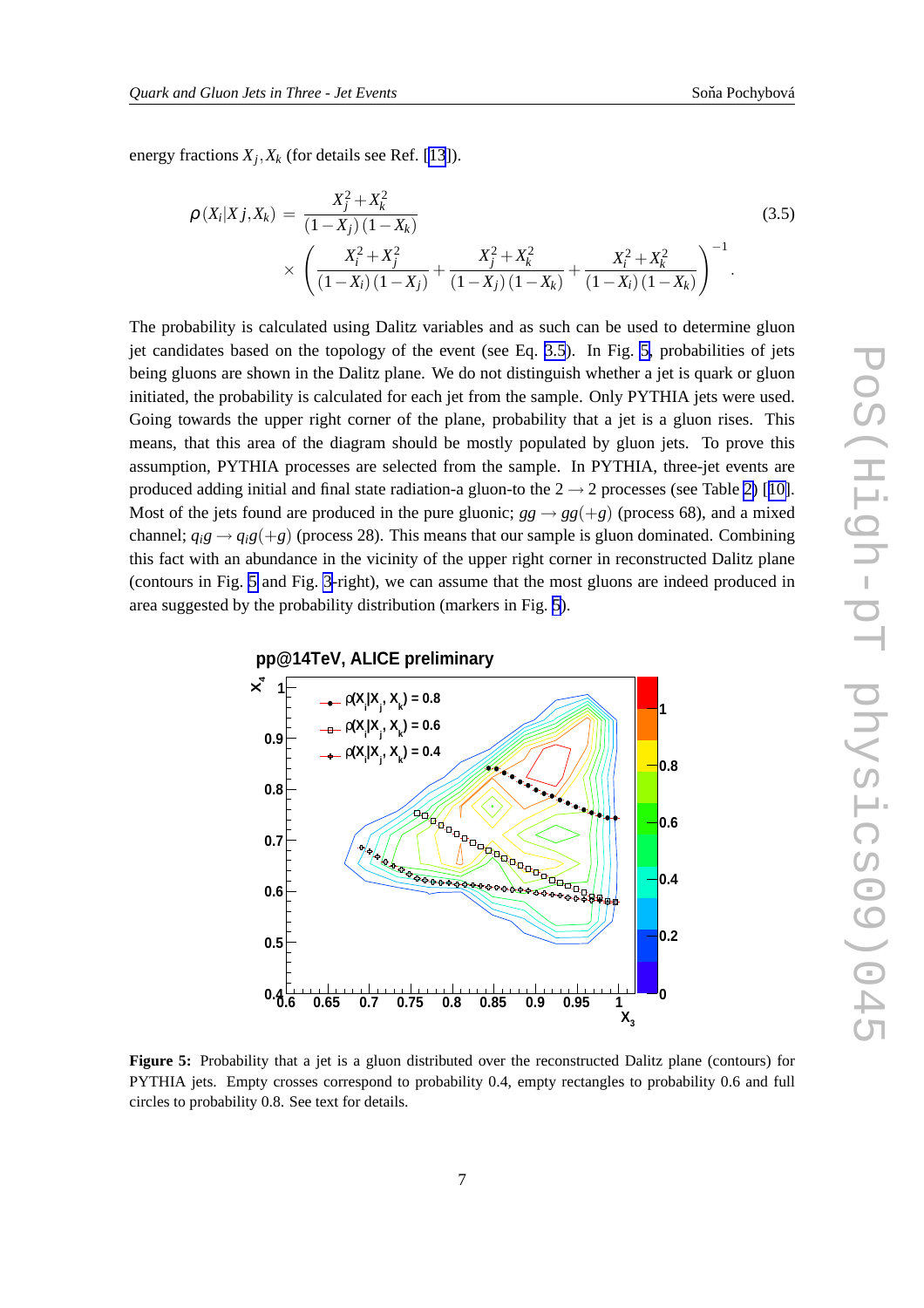energy fractions *X<sup>j</sup>* ,*X<sup>k</sup>* (for details see Ref. [\[13](#page-7-0)]).

$$
\rho(X_i|X_j,X_k) = \frac{X_j^2 + X_k^2}{(1-X_j)(1-X_k)} \times \left(\frac{X_i^2 + X_j^2}{(1-X_i)(1-X_j)} + \frac{X_j^2 + X_k^2}{(1-X_j)(1-X_k)} + \frac{X_i^2 + X_k^2}{(1-X_i)(1-X_k)}\right)^{-1}.
$$
\n(3.5)

The probability is calculated using Dalitz variables and as such can be used to determine gluon jet candidates based on the topology of the event (see Eq. 3.5). In Fig. 5, probabilities of jets being gluons are shown in the Dalitz plane. We do not distinguish whether a jet is quark or gluon initiated, the probability is calculated for each jet from the sample. Only PYTHIA jets were used. Going towards the upper right corner of the plane, probability that a jet is a gluon rises. This means, that this area of the diagram should be mostly populated by gluon jets. To prove this assumption, PYTHIA processes are selected from the sample. In PYTHIA, three-jet events are produced adding initial and final state radiation-a gluon-to the  $2 \rightarrow 2$  processes (see Table [2\)](#page-4-0) [[10\]](#page-7-0). Most of the jets found are produced in the pure gluonic;  $gg \rightarrow gg(+g)$  (process 68), and a mixed channel;  $q_i g \rightarrow q_i g (+g)$  (process 28). This means that our sample is gluon dominated. Combining this fact with an abundance in the vicinity of the upper right corner in reconstructed Dalitz plane (contours in Fig. 5 and Fig. [3-](#page-5-0)right), we can assume that the most gluons are indeed produced in area suggested by the probability distribution (markers in Fig. 5).



**Figure 5:** Probability that a jet is a gluon distributed over the reconstructed Dalitz plane (contours) for PYTHIA jets. Empty crosses correspond to probability 0.4, empty rectangles to probability 0.6 and full circles to probability 0.8. See text for details.